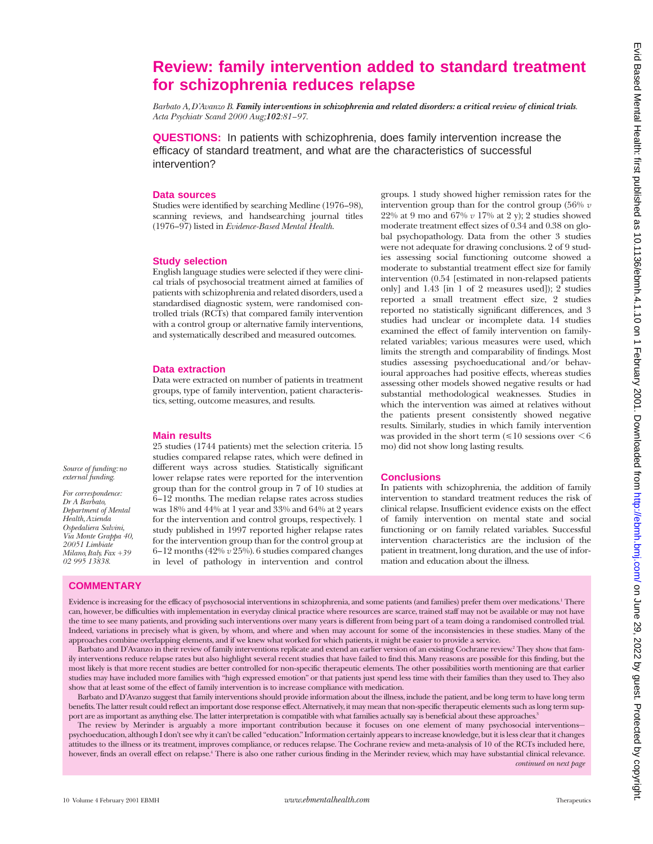# **Review: family intervention added to standard treatment for schizophrenia reduces relapse**

*Barbato A, D'Avanzo B. Family interventions in schizophrenia and related disorders: a critical review of clinical trials. Acta Psychiatr Scand 2000 Aug;102:81–97.*

**QUESTIONS:** In patients with schizophrenia, does family intervention increase the efficacy of standard treatment, and what are the characteristics of successful intervention?

# **Data sources**

Studies were identified by searching Medline (1976–98), scanning reviews, and handsearching journal titles (1976–97) listed in *Evidence-Based Mental Health*.

#### **Study selection**

English language studies were selected if they were clinical trials of psychosocial treatment aimed at families of patients with schizophrenia and related disorders, used a standardised diagnostic system, were randomised controlled trials (RCTs) that compared family intervention with a control group or alternative family interventions, and systematically described and measured outcomes.

## **Data extraction**

Data were extracted on number of patients in treatment groups, type of family intervention, patient characteristics, setting, outcome measures, and results.

## **Main results**

25 studies (1744 patients) met the selection criteria. 15 studies compared relapse rates, which were defined in different ways across studies. Statistically significant lower relapse rates were reported for the intervention group than for the control group in 7 of 10 studies at 6–12 months. The median relapse rates across studies was 18% and 44% at 1 year and 33% and 64% at 2 years for the intervention and control groups, respectively. 1 study published in 1997 reported higher relapse rates for the intervention group than for the control group at 6–12 months (42%  $v$  25%). 6 studies compared changes in level of pathology in intervention and control

groups. 1 study showed higher remission rates for the intervention group than for the control group (56% *v* 22% at 9 mo and 67% *v* 17% at 2 y); 2 studies showed moderate treatment effect sizes of 0.34 and 0.38 on global psychopathology. Data from the other 3 studies were not adequate for drawing conclusions. 2 of 9 studies assessing social functioning outcome showed a moderate to substantial treatment effect size for family intervention (0.54 [estimated in non-relapsed patients only] and 1.43 [in 1 of 2 measures used]); 2 studies reported a small treatment effect size, 2 studies reported no statistically significant differences, and 3 studies had unclear or incomplete data. 14 studies examined the effect of family intervention on familyrelated variables; various measures were used, which limits the strength and comparability of findings. Most studies assessing psychoeducational and/or behavioural approaches had positive effects, whereas studies assessing other models showed negative results or had substantial methodological weaknesses. Studies in which the intervention was aimed at relatives without the patients present consistently showed negative results. Similarly, studies in which family intervention was provided in the short term  $(\leq 10$  sessions over  $\leq 6$ mo) did not show long lasting results.

## **Conclusions**

In patients with schizophrenia, the addition of family intervention to standard treatment reduces the risk of clinical relapse. Insufficient evidence exists on the effect of family intervention on mental state and social functioning or on family related variables. Successful intervention characteristics are the inclusion of the patient in treatment, long duration, and the use of information and education about the illness.

*Source of funding: no external funding.*

*For correspondence: Dr A Barbato, Department of Mental Health, Azienda Ospedaliera Salvini, Via Monte Grappa 40, 20051 Limbiate Milano, Italy. Fax +39 02 995 13838.*

# **COMMENTARY**

Evidence is increasing for the efficacy of psychosocial interventions in schizophrenia, and some patients (and families) prefer them over medications.1 There can, however, be difficulties with implementation in everyday clinical practice where resources are scarce, trained staff may not be available or may not have the time to see many patients, and providing such interventions over many years is different from being part of a team doing a randomised controlled trial. Indeed, variations in precisely what is given, by whom, and where and when may account for some of the inconsistencies in these studies. Many of the approaches combine overlapping elements, and if we knew what worked for which patients, it might be easier to provide a service.

Barbato and D'Avanzo in their review of family interventions replicate and extend an earlier version of an existing Cochrane review.2 They show that family interventions reduce relapse rates but also highlight several recent studies that have failed to find this. Many reasons are possible for this finding, but the most likely is that more recent studies are better controlled for non-specific therapeutic elements. The other possibilities worth mentioning are that earlier studies may have included more families with "high expressed emotion" or that patients just spend less time with their families than they used to. They also show that at least some of the effect of family intervention is to increase compliance with medication.

Barbato and D'Avanzo suggest that family interventions should provide information about the illness, include the patient, and be long term to have long term benefits. The latter result could reflect an important dose response effect. Alternatively, it may mean that non-specific therapeutic elements such as long term support are as important as anything else. The latter interpretation is compatible with what families actually say is beneficial about these approaches.<sup>3</sup>

The review by Merinder is arguably a more important contribution because it focuses on one element of many psychosocial interventions psychoeducation, although I don't see why it can't be called "education." Information certainly appears to increase knowledge, but it is less clear that it changes attitudes to the illness or its treatment, improves compliance, or reduces relapse. The Cochrane review and meta-analysis of 10 of the RCTs included here, however, finds an overall effect on relapse.<sup>4</sup> There is also one rather curious finding in the Merinder review, which may have substantial clinical relevance. *continued on next page*